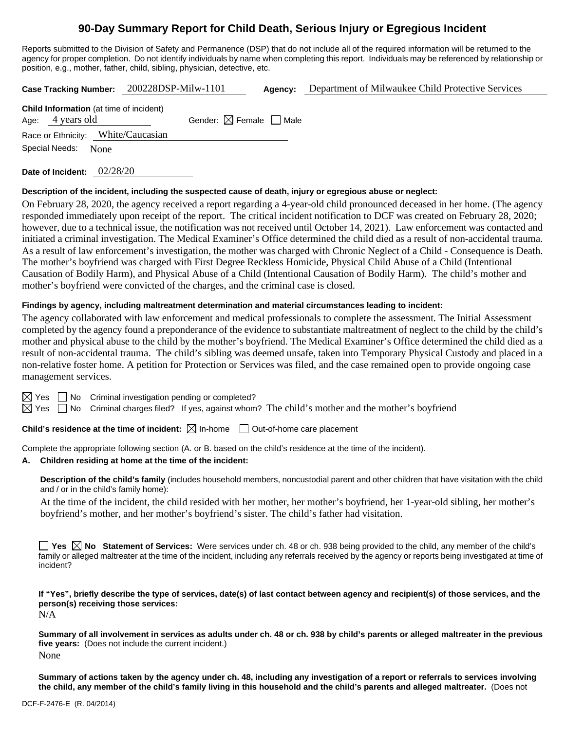# **90-Day Summary Report for Child Death, Serious Injury or Egregious Incident**

Reports submitted to the Division of Safety and Permanence (DSP) that do not include all of the required information will be returned to the agency for proper completion. Do not identify individuals by name when completing this report. Individuals may be referenced by relationship or position, e.g., mother, father, child, sibling, physician, detective, etc.

| <b>Case Tracking Number:</b>                                       | 200228DSP-Milw-1101                    | Agency: | Department of Milwaukee Child Protective Services |
|--------------------------------------------------------------------|----------------------------------------|---------|---------------------------------------------------|
| <b>Child Information</b> (at time of incident)<br>Age: 4 years old | Gender: $\boxtimes$ Female $\Box$ Male |         |                                                   |
| Race or Ethnicity: White/Caucasian                                 |                                        |         |                                                   |

Special Needs: None

**Date of Incident:** 02/28/20

#### **Description of the incident, including the suspected cause of death, injury or egregious abuse or neglect:**

On February 28, 2020, the agency received a report regarding a 4-year-old child pronounced deceased in her home. (The agency responded immediately upon receipt of the report. The critical incident notification to DCF was created on February 28, 2020; however, due to a technical issue, the notification was not received until October 14, 2021). Law enforcement was contacted and initiated a criminal investigation. The Medical Examiner's Office determined the child died as a result of non-accidental trauma. As a result of law enforcement's investigation, the mother was charged with Chronic Neglect of a Child - Consequence is Death. The mother's boyfriend was charged with First Degree Reckless Homicide, Physical Child Abuse of a Child (Intentional Causation of Bodily Harm), and Physical Abuse of a Child (Intentional Causation of Bodily Harm). The child's mother and mother's boyfriend were convicted of the charges, and the criminal case is closed.

#### **Findings by agency, including maltreatment determination and material circumstances leading to incident:**

The agency collaborated with law enforcement and medical professionals to complete the assessment. The Initial Assessment completed by the agency found a preponderance of the evidence to substantiate maltreatment of neglect to the child by the child's mother and physical abuse to the child by the mother's boyfriend. The Medical Examiner's Office determined the child died as a result of non-accidental trauma. The child's sibling was deemed unsafe, taken into Temporary Physical Custody and placed in a non-relative foster home. A petition for Protection or Services was filed, and the case remained open to provide ongoing case management services.

 $\Box$  No Criminal investigation pending or completed?

 $\boxtimes$  Yes  $\Box$  No Criminal charges filed? If yes, against whom? The child's mother and the mother's boyfriend

**Child's residence at the time of incident:**  $\boxtimes$  In-home  $\Box$  Out-of-home care placement

Complete the appropriate following section (A. or B. based on the child's residence at the time of the incident).

#### **A. Children residing at home at the time of the incident:**

**Description of the child's family** (includes household members, noncustodial parent and other children that have visitation with the child and / or in the child's family home):

At the time of the incident, the child resided with her mother, her mother's boyfriend, her 1-year-old sibling, her mother's boyfriend's mother, and her mother's boyfriend's sister. The child's father had visitation.

■ Yes **No** Statement of Services: Were services under ch. 48 or ch. 938 being provided to the child, any member of the child's family or alleged maltreater at the time of the incident, including any referrals received by the agency or reports being investigated at time of incident?

**If "Yes", briefly describe the type of services, date(s) of last contact between agency and recipient(s) of those services, and the person(s) receiving those services:**

N/A

**Summary of all involvement in services as adults under ch. 48 or ch. 938 by child's parents or alleged maltreater in the previous five years:** (Does not include the current incident.) None

**Summary of actions taken by the agency under ch. 48, including any investigation of a report or referrals to services involving the child, any member of the child's family living in this household and the child's parents and alleged maltreater.** (Does not